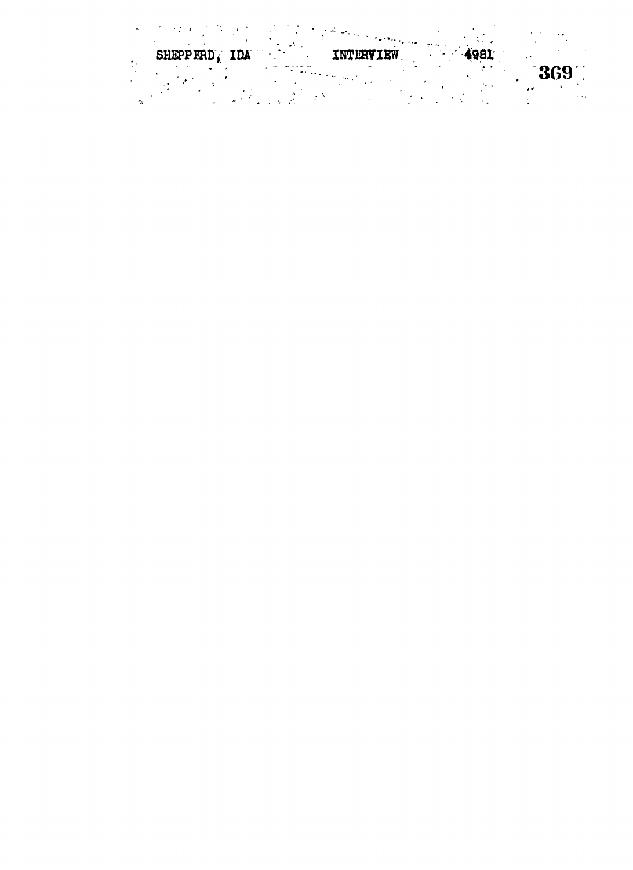SHEPPERD, IDA INTERVIEW 4981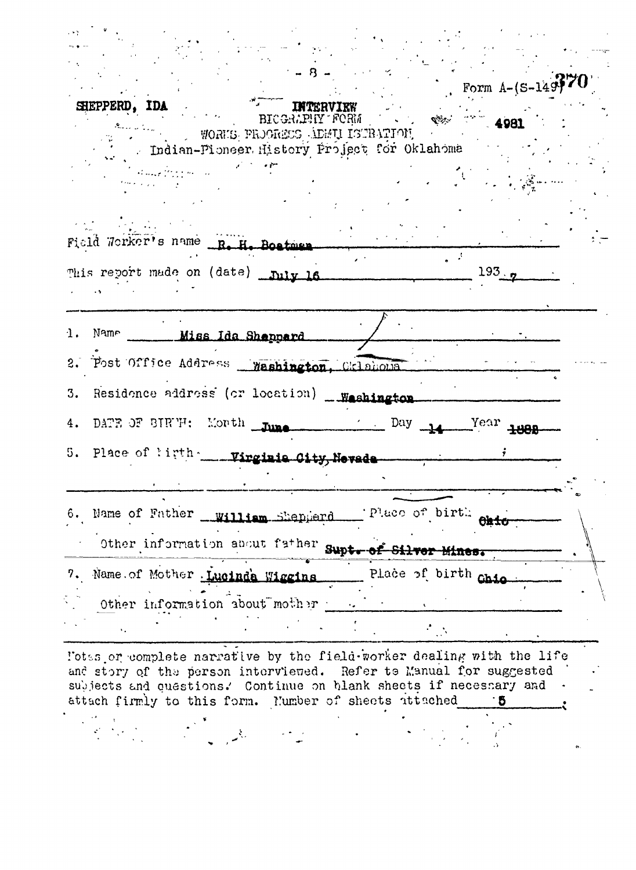|    | Form $A-(S-149)770$                                                                                                              |  |
|----|----------------------------------------------------------------------------------------------------------------------------------|--|
|    | SHEPPERD, IDA<br>BICGRADHY FORM<br>4981<br>WORKER AND CONSERVATION CONSERVATION<br>. Indian-Pioneer History Project for Oklahoma |  |
|    | للمستحقق ويتلقط                                                                                                                  |  |
|    | Field Worker's name R. H. Bostmen.                                                                                               |  |
|    | This report made on (date) _niv 16<br>193.7                                                                                      |  |
| 1. | Name ______ Miss Ida Shappard                                                                                                    |  |
|    | 2. Post Office Address Washington, Cklahous                                                                                      |  |
|    | 3. Residence address (or location) __Weshington                                                                                  |  |
| 4. | DATE OF BIRTH: Month Tune<br>$Day$ $\rightarrow$ $Year$ $\rightarrow$ $xan$                                                      |  |
|    | 5. Place of ligth _____ Virginia Oity, Nevade _______                                                                            |  |
|    | Place of birth<br>6. Name of Father william Shepperd                                                                             |  |
|    | Other information about father supt. of Silver Mines.                                                                            |  |
| 7. | Place of birth chia<br>Name of Mother Lucinda Wiggins                                                                            |  |
|    | Other information about mother                                                                                                   |  |
|    | $\mathcal{F}_{\text{max}}$                                                                                                       |  |

l'otas or complete narrative by the fiela-worker dealing with the life and story of the person interviewed. Refer to Manual for suggested subjects and questions. Continue on blank sheets if necessary and attach firmly to this form. Mumber of sheets ittached 5  $\ddot{\cdot}$  $\frac{1}{2}$  $\begin{aligned} \mathbf{E}^{(1)} &= \frac{1}{2} \mathbf{E} \mathbf{E}^{(1)} + \mathbf{E}^{(2)} \mathbf{E}^{(1)} \end{aligned}$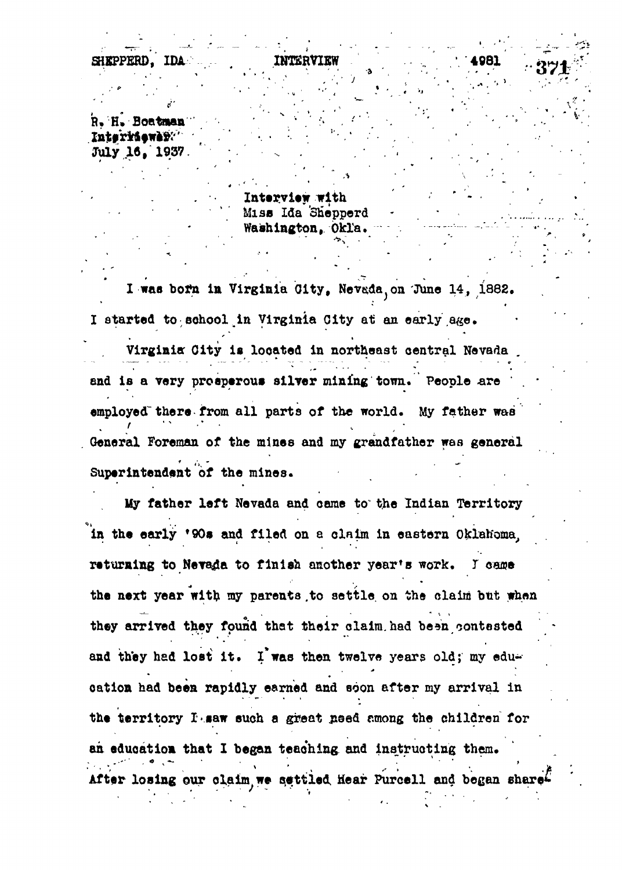**4«81**

• • \* < • •\*.•" '

. ' "<sup>v</sup> -. ' \* ' .. ' '

' ' ' " • ' . •

< ' \*

**R. H. Boatman** Intervieway. **Juiy .16, 1937. "•**

**Interview with Miss Ida 'Shepperd Washington, Okla.**

I was born in Virginia City, Nevada, on June 14, 1882. I started to school in Virginia City at an early age.

**Virginia Oity is looated in northeast central Nevada .** and is a very prosperous silver mining town. People are **employed" there from all parts of the world. My father was General Foreman of the mines and my grandfather was general** Superintendent of the mines.

My father left Nevada and came to the Indian Territory in the early '90s and filed on a claim in eastern Oklahoma. returning to Nevada to finish another year's work. I came the next year with my parents to settle on the claim but when they arrived they found that their claim had been contested and they had lost it. I was then twelve years old; my education had been rapidly earned and soon after my arrival in the territory *I* saw such a great need among the children for an education that I began teaching and instructing them. **After losing our claim we settled Hear Purcell and began After losing our olalm we settled Wear Purcell and began**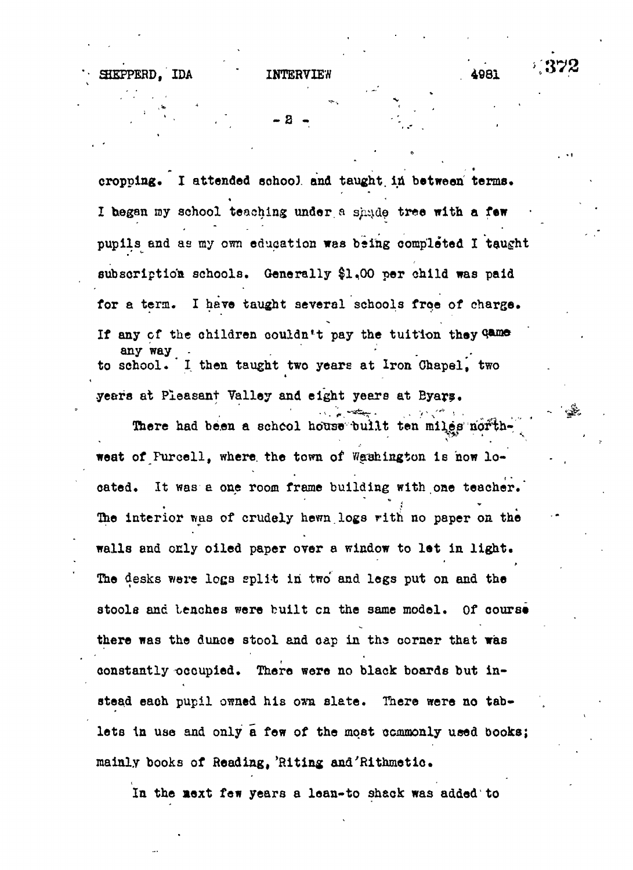**- 2 -**

cropping. I attended school and taught in between terms. I began my school teaching under a shade tree with a few I hegan my school teaching under, a s/iijde tree with a **few** pupils and as my own education was being completed I taught sub script ion's substitution  $\mathcal{L}_\mathcal{S}$  ,  $\mathcal{L}_\mathcal{S}$  ,  $\mathcal{L}_\mathcal{S}$  per child was paid was paid was paid was paid was paid was paid was paid was paid was paid was paid was paid was paid was paid was paid was pa for a term, I have taught several schools free of charge. **If any of the children couldn't pay the tuition they any way - . . . to school. I then taught two years at Iron Ohapel, two** years at Pleasant Valley and eight years at Byars.

**yeera at Pleasant Valley and eight years at Byar?.** There had been a school house built **There had been a school hotrae -built ten miles' north-.** weat of Furcell, where the town of Washington is now lo**weat of Purcell, where, the town of Washington is now lo**cated. It was a one room frame building with one teacher. **cated. It was a one room frame building with one teacher."** The interior was of crudely hewn logs with no paper on the **The interior was of crudely hewn.logs rith no paper on the** walls and only oiled paper over a window to let in light. **walls and only oiled paper over a window to let in light.** The desks were logs split in two and legs put on and the **The desks were loga split in two and legs put on and the** stools and tenches were built on the same model. Of course **stools and benches were built en the same model. Of course** there was the dunce stool and cap in the corner that was **there was the dunce stool and oap in ths corner that was** constantly occupied. There were no black boards but in**constantly occupied. There were no black boards but instead eaoh pupil owned his own slate. There were no tablets in use and only a few of the most commonly used books;**

**In the aext few years a lean-to shack was added to**

**mainly books of Heading, 'Riting and'Rithmetlo.**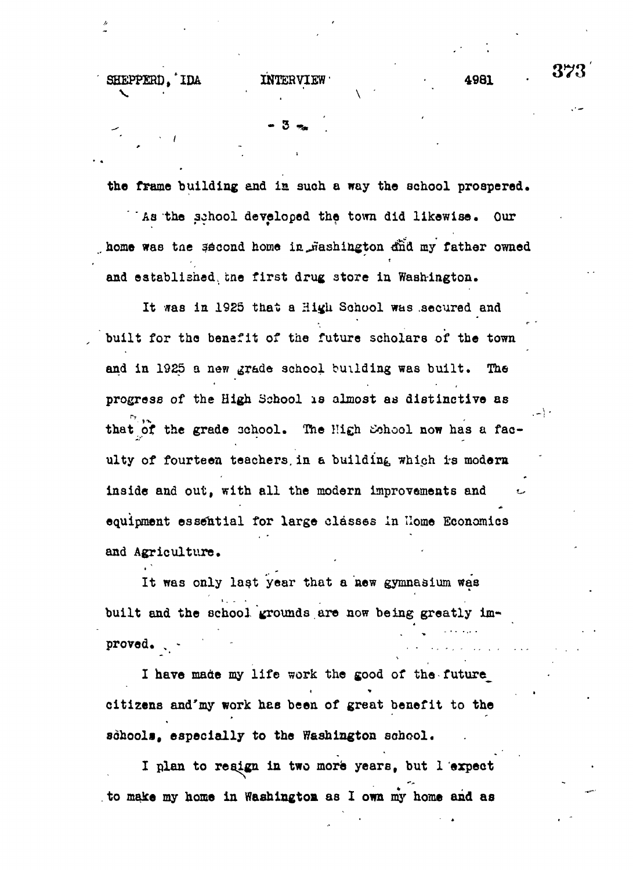**- 3**

SHEPPERD. IDA. INTERVIEW **4981** 

**the frame building and is. such a way the school prospered. ' Aa the aohool developed the town did likewise. Our**

home was the second home in *fiashington dnd my father owned* **and established, cne first drug store in Washington.**

**It was in 1925 that a High School was .secured and built for the benefit of the future scholars of the town** and in 1925 a new grade school building was built. The **progress of the High School is almost as distinctive as** that of the grade school. The High School now has a fac**ulty of fourteen teachers.in a building which is modern** inside and out, with all the modern improvements and **equipment essential for large classes in Home Economics and Agriculture.**

**It was only last year that a new gymnasium was** built and the school grounds are now being greatly improved. . .

**I have made my life work the good of the future^ citizens and'my work has been of great benefit to the sdhooli, especially to the Washington school.**

**I plan to resign in two more years, but 1 expect to make my home in Washington as I own my home aid as** 373